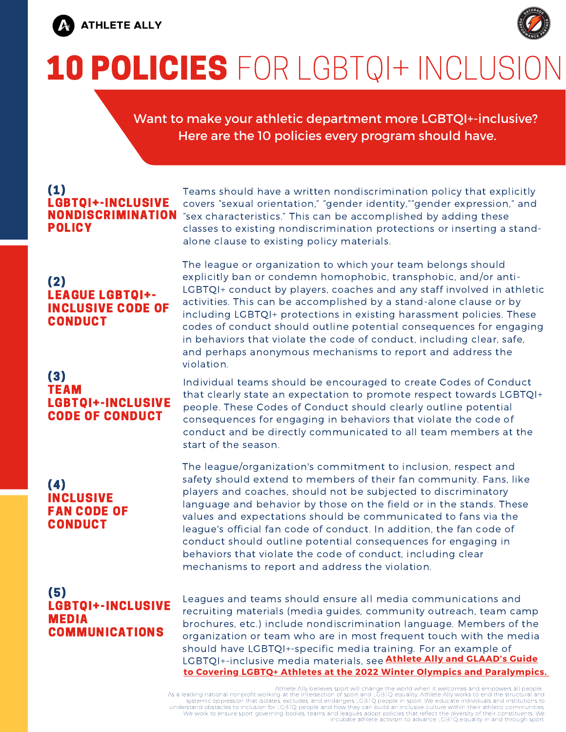

# 10 POLICIES FOR LGBTQI+ INCLUSION

Want to make your athletic department more LGBTQI+-inclusive? Here are the 10 policies every program should have.

# (1) LGBTQI+-INCLUSIVE POLICY

#### (2) LEAGUE LGBTQI+- INCLUSIVE CODE OF **CONDUCT**

#### (3) TEAM LGBTQI+-INCLUSIVE CODE OF CONDUCT

#### (4) INCLUSIVE FAN CODE OF CONDUCT

#### (5) LGBTQI+-INCLUSIVE MEDIA COMMUNICATIONS

Teams should have a written nondiscrimination policy that explicitly covers "sexual orientation," "gender identity,""gender expression," and NONDISCRIMINATION "sex characteristics." This can be accomplished by adding these classes to existing nondiscrimination protections or inserting a standalone clause to existing policy materials.

> The league or organization to which your team belongs should explicitly ban or condemn homophobic, transphobic, and/or anti-LGBTQI+ conduct by players, coaches and any staff involved in athletic activities. This can be accomplished by a stand-alone clause or by including LGBTQI+ protections in existing harassment policies. These codes of conduct should outline potential consequences for engaging in behaviors that violate the code of conduct, including clear, safe, and perhaps anonymous mechanisms to report and address the violation.

> Individual teams should be encouraged to create Codes of Conduct that clearly state an expectation to promote respect towards LGBTQI+ people. These Codes of Conduct should clearly outline potential consequences for engaging in behaviors that violate the code of conduct and be directly communicated to all team members at the start of the season.

The league/organization's commitment to inclusion, respect and safety should extend to members of their fan community. Fans, like players and coaches, should not be subjected to discriminatory language and behavior by those on the field or in the stands. These values and expectations should be communicated to fans via the league's official fan code of conduct. In addition, the fan code of conduct should outline potential consequences for engaging in behaviors that violate the code of conduct, including clear mechanisms to report and address the violation.

Leagues and teams should ensure all media communications and recruiting materials (media guides, community outreach, team camp brochures, etc.) include nondiscrimination language. Members of the organization or team who are in most frequent touch with the media should have LGBTQI+-specific media training. For an example of LGBTQI+-inclusive media materials, see **Athlete Ally and [GLAAD's](https://www.glaad.org/sites/default/files/GLAADCoveringLGBTQAthletes.pdf) Guide to Covering LGBTQ+ Athletes at the 2022 Winter Olympics and [Paralympics.](https://www.glaad.org/sites/default/files/GLAADCoveringLGBTQAthletes.pdf)**

Athlete Ally believes sport will change the world when it welcomes and empowers all people. As a leading national nonprofit working at the intersection of sport and LÖBTQ equality. Athlete Ally works to end<sup>'</sup> the structural and<br>systemic oppression that isolates, excludes, and endangers LGBTQ people in sport. We incubate athlete activism to advance LGBTQ equality in and through sport.